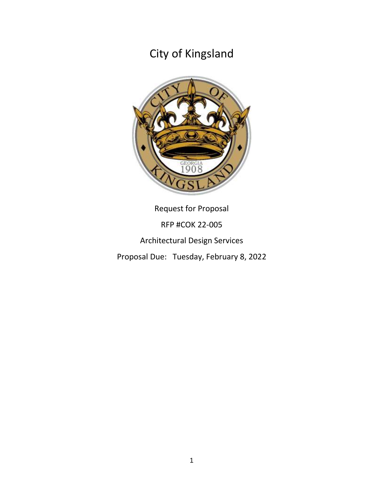

Request for Proposal RFP #COK 22-005 Architectural Design Services Proposal Due: Tuesday, February 8, 2022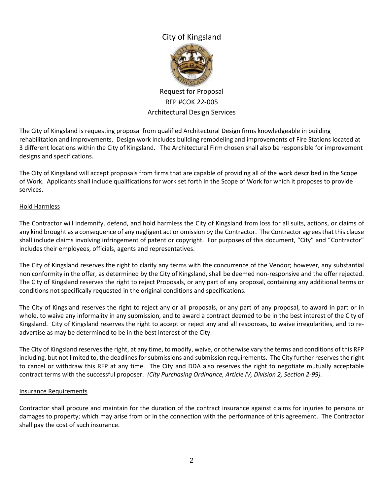

## Request for Proposal RFP #COK 22-005 Architectural Design Services

The City of Kingsland is requesting proposal from qualified Architectural Design firms knowledgeable in building rehabilitation and improvements. Design work includes building remodeling and improvements of Fire Stations located at 3 different locations within the City of Kingsland. The Architectural Firm chosen shall also be responsible for improvement designs and specifications.

The City of Kingsland will accept proposals from firms that are capable of providing all of the work described in the Scope of Work. Applicants shall include qualifications for work set forth in the Scope of Work for which it proposes to provide services.

#### Hold Harmless

The Contractor will indemnify, defend, and hold harmless the City of Kingsland from loss for all suits, actions, or claims of any kind brought as a consequence of any negligent act or omission by the Contractor. The Contractor agrees that this clause shall include claims involving infringement of patent or copyright. For purposes of this document, "City" and "Contractor" includes their employees, officials, agents and representatives.

The City of Kingsland reserves the right to clarify any terms with the concurrence of the Vendor; however, any substantial non conformity in the offer, as determined by the City of Kingsland, shall be deemed non-responsive and the offer rejected. The City of Kingsland reserves the right to reject Proposals, or any part of any proposal, containing any additional terms or conditions not specifically requested in the original conditions and specifications.

The City of Kingsland reserves the right to reject any or all proposals, or any part of any proposal, to award in part or in whole, to waive any informality in any submission, and to award a contract deemed to be in the best interest of the City of Kingsland. City of Kingsland reserves the right to accept or reject any and all responses, to waive irregularities, and to readvertise as may be determined to be in the best interest of the City.

The City of Kingsland reserves the right, at any time, to modify, waive, or otherwise vary the terms and conditions of this RFP including, but not limited to, the deadlines for submissions and submission requirements. The City further reserves the right to cancel or withdraw this RFP at any time. The City and DDA also reserves the right to negotiate mutually acceptable contract terms with the successful proposer. *(City Purchasing Ordinance, Article IV, Division 2, Section 2-99).*

#### Insurance Requirements

Contractor shall procure and maintain for the duration of the contract insurance against claims for injuries to persons or damages to property; which may arise from or in the connection with the performance of this agreement. The Contractor shall pay the cost of such insurance.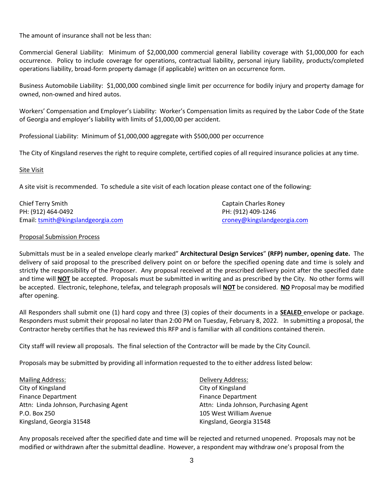The amount of insurance shall not be less than:

Commercial General Liability: Minimum of \$2,000,000 commercial general liability coverage with \$1,000,000 for each occurrence. Policy to include coverage for operations, contractual liability, personal injury liability, products/completed operations liability, broad-form property damage (if applicable) written on an occurrence form.

Business Automobile Liability: \$1,000,000 combined single limit per occurrence for bodily injury and property damage for owned, non-owned and hired autos.

Workers' Compensation and Employer's Liability: Worker's Compensation limits as required by the Labor Code of the State of Georgia and employer's liability with limits of \$1,000,00 per accident.

Professional Liability: Minimum of \$1,000,000 aggregate with \$500,000 per occurrence

The City of Kingsland reserves the right to require complete, certified copies of all required insurance policies at any time.

#### Site Visit

A site visit is recommended. To schedule a site visit of each location please contact one of the following:

| <b>Chief Terry Smith</b>           | Captain Charles Roney       |
|------------------------------------|-----------------------------|
| PH: (912) 464-0492                 | PH: (912) 409-1246          |
| Email: tsmith@kingslandgeorgia.com | croney@kingslandgeorgia.com |

#### Proposal Submission Process

Submittals must be in a sealed envelope clearly marked" **Architectural Design Services**" **(RFP) number, opening date.** The delivery of said proposal to the prescribed delivery point on or before the specified opening date and time is solely and strictly the responsibility of the Proposer. Any proposal received at the prescribed delivery point after the specified date and time will **NOT** be accepted. Proposals must be submitted in writing and as prescribed by the City. No other forms will be accepted. Electronic, telephone, telefax, and telegraph proposals will **NOT** be considered. **NO** Proposal may be modified after opening.

All Responders shall submit one (1) hard copy and three (3) copies of their documents in a **SEALED** envelope or package. Responders must submit their proposal no later than 2:00 PM on Tuesday, February 8, 2022. In submitting a proposal, the Contractor hereby certifies that he has reviewed this RFP and is familiar with all conditions contained therein.

City staff will review all proposals. The final selection of the Contractor will be made by the City Council.

Proposals may be submitted by providing all information requested to the to either address listed below:

| <b>Mailing Address:</b>               | Delivery Address:                     |
|---------------------------------------|---------------------------------------|
| City of Kingsland                     | City of Kingsland                     |
| <b>Finance Department</b>             | <b>Finance Department</b>             |
| Attn: Linda Johnson, Purchasing Agent | Attn: Linda Johnson, Purchasing Agent |
| P.O. Box 250                          | 105 West William Avenue               |
| Kingsland, Georgia 31548              | Kingsland, Georgia 31548              |

Any proposals received after the specified date and time will be rejected and returned unopened. Proposals may not be modified or withdrawn after the submittal deadline. However, a respondent may withdraw one's proposal from the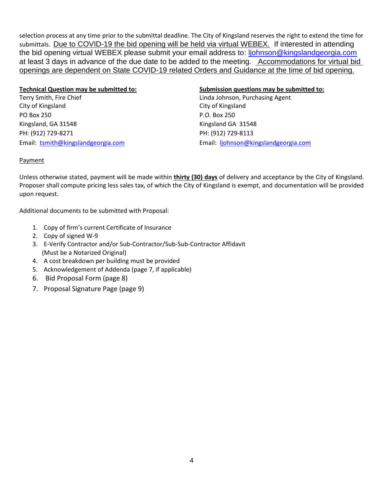selection process at any time prior to the submittal deadline. The City of Kingsland reserves the right to extend the time for submittals. Due to COVID-19 the bid opening will be held via virtual WEBEX. If interested in attending the bid opening virtual WEBEX please submit your email address to: liohnson@kingslandgeorgia.com at least 3 days in advance of the due date to be added to the meeting. Accommodations for virtual bid openings are dependent on State COVID-19 related Orders and Guidance at the time of bid opening.

# Terry Smith, Fire Chief Linda Johnson, Purchasing Agent City of Kingsland City of Kingsland PO Box 250 P.O. Box 250

PH: (912) 729-8271 PH: (912) 729-8113

#### **Technical Question may be submitted to: Submission questions may be submitted to:**

Kingsland, GA 31548 Kingsland GA 31548 Email: [tsmith@kingslandgeorgia.com](mailto:tsmith@kingslandgeorgia.com) Email: [ljohnson@kingslandgeorgia.com](mailto:ljohnson@kingslandgeorgia.com)

## **Payment**

Unless otherwise stated, payment will be made within **thirty (30) days** of delivery and acceptance by the City of Kingsland. Proposer shall compute pricing less sales tax, of which the City of Kingsland is exempt, and documentation will be provided upon request.

Additional documents to be submitted with Proposal:

- 1. Copy of firm's current Certificate of Insurance
- 2. Copy of signed W-9
- 3. E-Verify Contractor and/or Sub-Contractor/Sub-Sub-Contractor Affidavit (Must be a Notarized Original)
- 4. A cost breakdown per building must be provided
- 5. Acknowledgement of Addenda (page 7, if applicable)
- 6. Bid Proposal Form (page 8)
- 7. Proposal Signature Page (page 9)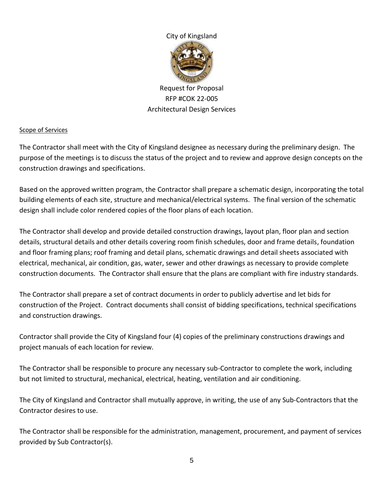

Request for Proposal RFP #COK 22-005 Architectural Design Services

## Scope of Services

The Contractor shall meet with the City of Kingsland designee as necessary during the preliminary design. The purpose of the meetings is to discuss the status of the project and to review and approve design concepts on the construction drawings and specifications.

Based on the approved written program, the Contractor shall prepare a schematic design, incorporating the total building elements of each site, structure and mechanical/electrical systems. The final version of the schematic design shall include color rendered copies of the floor plans of each location.

The Contractor shall develop and provide detailed construction drawings, layout plan, floor plan and section details, structural details and other details covering room finish schedules, door and frame details, foundation and floor framing plans; roof framing and detail plans, schematic drawings and detail sheets associated with electrical, mechanical, air condition, gas, water, sewer and other drawings as necessary to provide complete construction documents. The Contractor shall ensure that the plans are compliant with fire industry standards.

The Contractor shall prepare a set of contract documents in order to publicly advertise and let bids for construction of the Project. Contract documents shall consist of bidding specifications, technical specifications and construction drawings.

Contractor shall provide the City of Kingsland four (4) copies of the preliminary constructions drawings and project manuals of each location for review.

The Contractor shall be responsible to procure any necessary sub-Contractor to complete the work, including but not limited to structural, mechanical, electrical, heating, ventilation and air conditioning.

The City of Kingsland and Contractor shall mutually approve, in writing, the use of any Sub-Contractors that the Contractor desires to use.

The Contractor shall be responsible for the administration, management, procurement, and payment of services provided by Sub Contractor(s).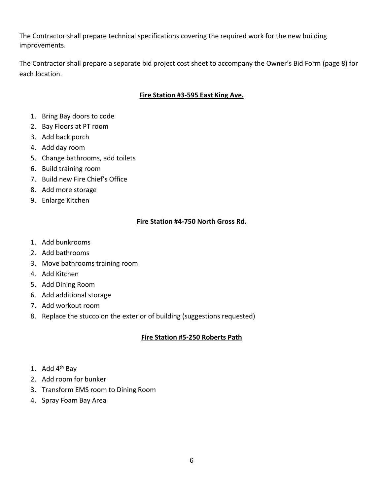The Contractor shall prepare technical specifications covering the required work for the new building improvements.

The Contractor shall prepare a separate bid project cost sheet to accompany the Owner's Bid Form (page 8) for each location.

## **Fire Station #3-595 East King Ave.**

- 1. Bring Bay doors to code
- 2. Bay Floors at PT room
- 3. Add back porch
- 4. Add day room
- 5. Change bathrooms, add toilets
- 6. Build training room
- 7. Build new Fire Chief's Office
- 8. Add more storage
- 9. Enlarge Kitchen

## **Fire Station #4-750 North Gross Rd.**

- 1. Add bunkrooms
- 2. Add bathrooms
- 3. Move bathrooms training room
- 4. Add Kitchen
- 5. Add Dining Room
- 6. Add additional storage
- 7. Add workout room
- 8. Replace the stucco on the exterior of building (suggestions requested)

## **Fire Station #5-250 Roberts Path**

- 1. Add  $4<sup>th</sup>$  Bay
- 2. Add room for bunker
- 3. Transform EMS room to Dining Room
- 4. Spray Foam Bay Area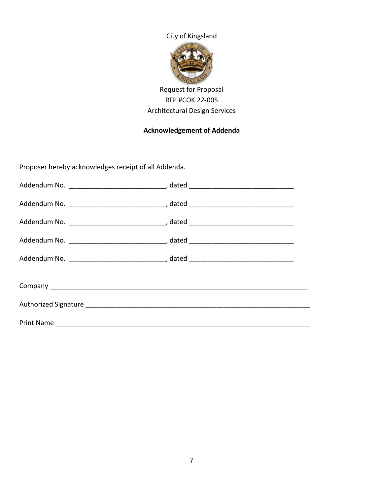

# Request for Proposal RFP #COK 22-005 Architectural Design Services

# **Acknowledgement of Addenda**

Proposer hereby acknowledges receipt of all Addenda.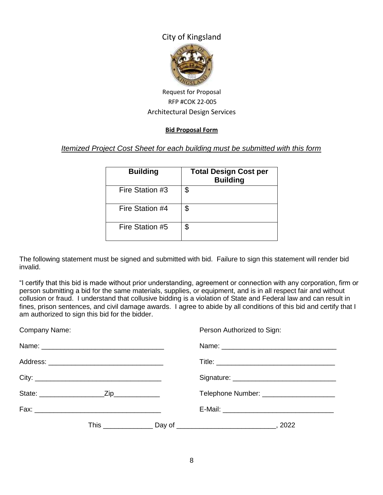

## Request for Proposal RFP #COK 22-005 Architectural Design Services

#### **Bid Proposal Form**

## *Itemized Project Cost Sheet for each building must be submitted with this form*

| <b>Building</b> | <b>Total Design Cost per</b><br><b>Building</b> |
|-----------------|-------------------------------------------------|
| Fire Station #3 | \$                                              |
| Fire Station #4 | \$                                              |
| Fire Station #5 | \$                                              |

The following statement must be signed and submitted with bid. Failure to sign this statement will render bid invalid.

"I certify that this bid is made without prior understanding, agreement or connection with any corporation, firm or person submitting a bid for the same materials, supplies, or equipment, and is in all respect fair and without collusion or fraud. I understand that collusive bidding is a violation of State and Federal law and can result in fines, prison sentences, and civil damage awards. I agree to abide by all conditions of this bid and certify that I am authorized to sign this bid for the bidder.

| Company Name:                                                                                                  |  | Person Authorized to Sign:                |
|----------------------------------------------------------------------------------------------------------------|--|-------------------------------------------|
| Name: 2008 2009 2010 2021 2022 2023 2024 2022 2023 2024 2022 2023 2024 2022 2023 2024 2022 2023 2024 2022 2023 |  |                                           |
|                                                                                                                |  |                                           |
|                                                                                                                |  |                                           |
|                                                                                                                |  | Telephone Number: _______________________ |
|                                                                                                                |  |                                           |
|                                                                                                                |  |                                           |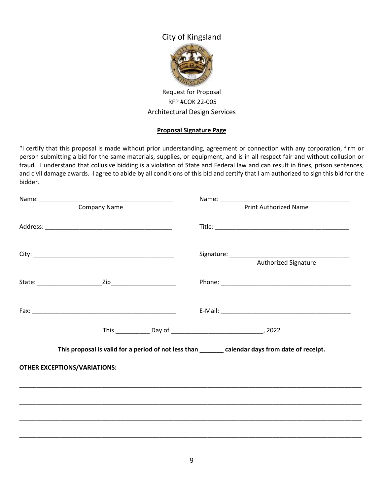

Request for Proposal RFP #COK 22-005 Architectural Design Services

#### **Proposal Signature Page**

"I certify that this proposal is made without prior understanding, agreement or connection with any corporation, firm or person submitting a bid for the same materials, supplies, or equipment, and is in all respect fair and without collusion or fraud. I understand that collusive bidding is a violation of State and Federal law and can result in fines, prison sentences, and civil damage awards. I agree to abide by all conditions of this bid and certify that I am authorized to sign this bid for the bidder.

|                                     | <b>Company Name</b> | <b>Print Authorized Name</b>                                                                      |
|-------------------------------------|---------------------|---------------------------------------------------------------------------------------------------|
|                                     |                     |                                                                                                   |
|                                     |                     | Authorized Signature                                                                              |
|                                     |                     |                                                                                                   |
|                                     |                     |                                                                                                   |
|                                     |                     |                                                                                                   |
|                                     |                     | This proposal is valid for a period of not less than ________ calendar days from date of receipt. |
| <b>OTHER EXCEPTIONS/VARIATIONS:</b> |                     |                                                                                                   |
|                                     |                     | ,我们也不能会在这里,我们的人们就会不能会在这里,我们也不能会不能会不能会不能会不能会不能会不能会。""我们的人们就会不能会不能会不能会不能会不能会不能会不能会                  |
|                                     |                     |                                                                                                   |
|                                     |                     |                                                                                                   |
|                                     |                     |                                                                                                   |